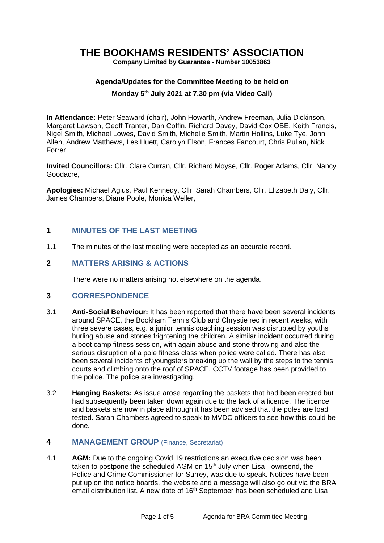# **THE BOOKHAMS RESIDENTS' ASSOCIATION**

**Company Limited by Guarantee - Number 10053863**

### **Agenda/Updates for the Committee Meeting to be held on**

### **Monday 5 th July 2021 at 7.30 pm (via Video Call)**

**In Attendance:** Peter Seaward (chair), John Howarth, Andrew Freeman, Julia Dickinson, Margaret Lawson, Geoff Tranter, Dan Coffin, Richard Davey, David Cox OBE, Keith Francis, Nigel Smith, Michael Lowes, David Smith, Michelle Smith, Martin Hollins, Luke Tye, John Allen, Andrew Matthews, Les Huett, Carolyn Elson, Frances Fancourt, Chris Pullan, Nick Forrer

**Invited Councillors:** Cllr. Clare Curran, Cllr. Richard Moyse, Cllr. Roger Adams, Cllr. Nancy Goodacre,

**Apologies:** Michael Agius, Paul Kennedy, Cllr. Sarah Chambers, Cllr. Elizabeth Daly, Cllr. James Chambers, Diane Poole, Monica Weller,

# **1 MINUTES OF THE LAST MEETING**

1.1 The minutes of the last meeting were accepted as an accurate record.

## **2 MATTERS ARISING & ACTIONS**

There were no matters arising not elsewhere on the agenda.

### **3 CORRESPONDENCE**

- 3.1 **Anti-Social Behaviour:** It has been reported that there have been several incidents around SPACE, the Bookham Tennis Club and Chrystie rec in recent weeks, with three severe cases, e.g. a junior tennis coaching session was disrupted by youths hurling abuse and stones frightening the children. A similar incident occurred during a boot camp fitness session, with again abuse and stone throwing and also the serious disruption of a pole fitness class when police were called. There has also been several incidents of youngsters breaking up the wall by the steps to the tennis courts and climbing onto the roof of SPACE. CCTV footage has been provided to the police. The police are investigating.
- 3.2 **Hanging Baskets:** As issue arose regarding the baskets that had been erected but had subsequently been taken down again due to the lack of a licence. The licence and baskets are now in place although it has been advised that the poles are load tested. Sarah Chambers agreed to speak to MVDC officers to see how this could be done.

### **4 MANAGEMENT GROUP** (Finance, Secretariat)

4.1 **AGM:** Due to the ongoing Covid 19 restrictions an executive decision was been taken to postpone the scheduled AGM on 15<sup>th</sup> July when Lisa Townsend, the Police and Crime Commissioner for Surrey, was due to speak. Notices have been put up on the notice boards, the website and a message will also go out via the BRA email distribution list. A new date of 16<sup>th</sup> September has been scheduled and Lisa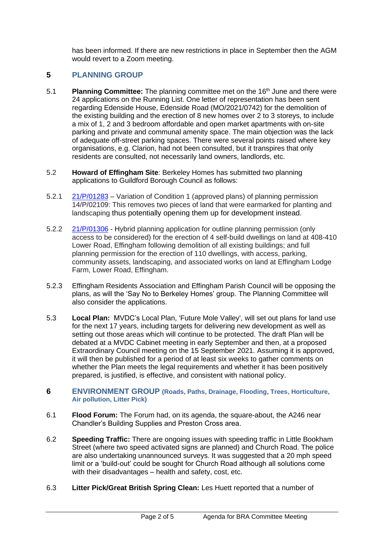has been informed. If there are new restrictions in place in September then the AGM would revert to a Zoom meeting.

# **5 PLANNING GROUP**

- 5.1 **Planning Committee:** The planning committee met on the 16 th June and there were 24 applications on the Running List. One letter of representation has been sent regarding Edenside House, Edenside Road (MO/2021/0742) for the demolition of the existing building and the erection of 8 new homes over 2 to 3 storeys, to include a mix of 1, 2 and 3 bedroom affordable and open market apartments with on-site parking and private and communal amenity space. The main objection was the lack of adequate off-street parking spaces. There were several points raised where key organisations, e.g. Clarion, had not been consulted, but it transpires that only residents are consulted, not necessarily land owners, landlords, etc.
- 5.2 **Howard of Effingham Site**: Berkeley Homes has submitted two planning applications to Guildford Borough Council as follows:
- 5.2.1 [21/P/01283](https://www2.guildford.gov.uk/publicaccess/applicationDetails.do?keyVal=_GUILD_DCAPR_195740&activeTab=summary) *–* Variation of Condition 1 (approved plans) of planning permission 14/P/02109: This removes two pieces of land that were earmarked for planting and landscaping thus potentially opening them up for development instead.
- 5.2.2 [21/P/01306](https://www2.guildford.gov.uk/publicaccess/centralDistribution.do?caseType=Application&keyVal=_GUILD_DCAPR_195780) Hybrid planning application for outline planning permission (only access to be considered) for the erection of 4 self-build dwellings on land at 408-410 Lower Road, Effingham following demolition of all existing buildings; and full planning permission for the erection of 110 dwellings, with access, parking, community assets, landscaping, and associated works on land at Effingham Lodge Farm, Lower Road, Effingham.
- 5.2.3 Effingham Residents Association and Effingham Parish Council will be opposing the plans, as will the 'Say No to Berkeley Homes' group. The Planning Committee will also consider the applications.
- 5.3 **Local Plan:** MVDC's Local Plan, 'Future Mole Valley', will set out plans for land use for the next 17 years, including targets for delivering new development as well as setting out those areas which will continue to be protected. The draft Plan will be debated at a MVDC Cabinet meeting in early September and then, at a proposed Extraordinary Council meeting on the 15 September 2021. Assuming it is approved, it will then be published for a period of at least six weeks to gather comments on whether the Plan meets the legal requirements and whether it has been positively prepared, is justified, is effective, and consistent with national policy.

### **6 ENVIRONMENT GROUP (Roads, Paths, Drainage, Flooding, Trees, Horticulture, Air pollution, Litter Pick)**

- 6.1 **Flood Forum:** The Forum had, on its agenda, the square-about, the A246 near Chandler's Building Supplies and Preston Cross area.
- 6.2 **Speeding Traffic:** There are ongoing issues with speeding traffic in Little Bookham Street (where two speed activated signs are planned) and Church Road. The police are also undertaking unannounced surveys. It was suggested that a 20 mph speed limit or a 'build-out' could be sought for Church Road although all solutions come with their disadvantages – health and safety, cost, etc.
- 6.3 **Litter Pick/Great British Spring Clean:** Les Huett reported that a number of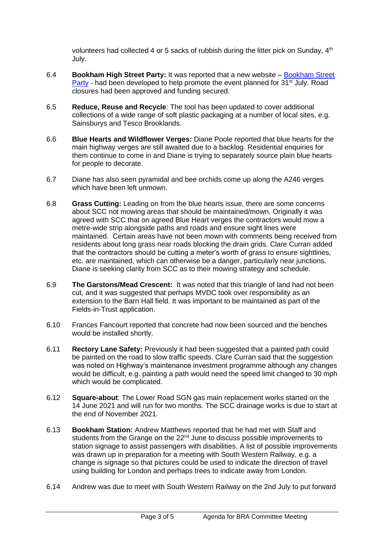volunteers had collected 4 or 5 sacks of rubbish during the litter pick on Sunday, 4<sup>th</sup> July.

- 6.4 **Bookham High Street Party:** It was reported that a new website [Bookham Street](https://www.bookhamstreetparty.com/)  [Party](https://www.bookhamstreetparty.com/) - had been developed to help promote the event planned for 31<sup>st</sup> July. Road closures had been approved and funding secured.
- 6.5 **Reduce, Reuse and Recycle**: The tool has been updated to cover additional collections of a wide range of soft plastic packaging at a number of local sites, e.g. Sainsburys and Tesco Brooklands.
- 6.6 **Blue Hearts and Wildflower Verges:** Diane Poole reported that blue hearts for the main highway verges are still awaited due to a backlog. Residential enquiries for them continue to come in and Diane is trying to separately source plain blue hearts for people to decorate.
- 6.7 Diane has also seen pyramidal and bee orchids come up along the A246 verges which have been left unmown.
- 6.8 **Grass Cutting:** Leading on from the blue hearts issue, there are some concerns about SCC not mowing areas that should be maintained/mown. Originally it was agreed with SCC that on agreed Blue Heart verges the contractors would mow a metre-wide strip alongside paths and roads and ensure sight lines were maintained. Certain areas have not been mown with comments being received from residents about long grass near roads blocking the drain grids. Clare Curran added that the contractors should be cutting a meter's worth of grass to ensure sightlines, etc. are maintained, which can otherwise be a danger, particularly near junctions. Diane is seeking clarity from SCC as to their mowing strategy and schedule.
- 6.9 **The Garstons/Mead Crescent:** It was noted that this triangle of land had not been cut, and it was suggested that perhaps MVDC took over responsibility as an extension to the Barn Hall field. It was important to be maintained as part of the Fields-in-Trust application.
- 6.10 Frances Fancourt reported that concrete had now been sourced and the benches would be installed shortly.
- 6.11 **Rectory Lane Safety:** Previously it had been suggested that a painted path could be painted on the road to slow traffic speeds. Clare Curran said that the suggestion was noted on Highway's maintenance investment programme although any changes would be difficult, e.g. painting a path would need the speed limit changed to 30 mph which would be complicated.
- 6.12 **Square-about**: The Lower Road SGN gas main replacement works started on the 14 June 2021 and will run for two months. The SCC drainage works is due to start at the end of November 2021.
- 6.13 **Bookham Station:** Andrew Matthews reported that he had met with Staff and students from the Grange on the 22<sup>nd</sup> June to discuss possible improvements to station signage to assist passengers with disabilities. A list of possible improvements was drawn up in preparation for a meeting with South Western Railway, e.g. a change is signage so that pictures could be used to indicate the direction of travel using building for London and perhaps trees to indicate away from London.
- 6.14 Andrew was due to meet with South Western Railway on the 2nd July to put forward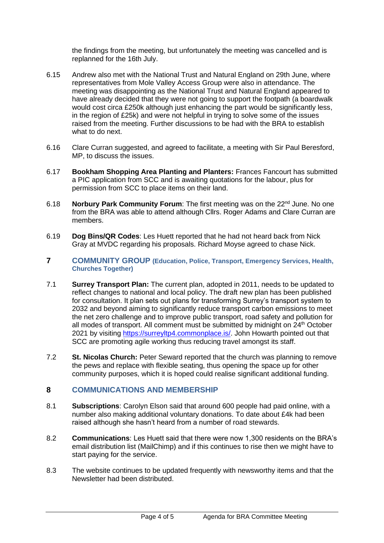the findings from the meeting, but unfortunately the meeting was cancelled and is replanned for the 16th July.

- 6.15 Andrew also met with the National Trust and Natural England on 29th June, where representatives from Mole Valley Access Group were also in attendance. The meeting was disappointing as the National Trust and Natural England appeared to have already decided that they were not going to support the footpath (a boardwalk would cost circa £250k although just enhancing the part would be significantly less, in the region of £25k) and were not helpful in trying to solve some of the issues raised from the meeting. Further discussions to be had with the BRA to establish what to do next.
- 6.16 Clare Curran suggested, and agreed to facilitate, a meeting with Sir Paul Beresford, MP, to discuss the issues.
- 6.17 **Bookham Shopping Area Planting and Planters:** Frances Fancourt has submitted a PIC application from SCC and is awaiting quotations for the labour, plus for permission from SCC to place items on their land.
- 6.18 **Norbury Park Community Forum**: The first meeting was on the 22nd June. No one from the BRA was able to attend although Cllrs. Roger Adams and Clare Curran are members.
- 6.19 **Dog Bins/QR Codes**: Les Huett reported that he had not heard back from Nick Gray at MVDC regarding his proposals. Richard Moyse agreed to chase Nick.
- **7 COMMUNITY GROUP (Education, Police, Transport, Emergency Services, Health, Churches Together)**
- 7.1 **Surrey Transport Plan:** The current plan, adopted in 2011, needs to be updated to reflect changes to national and local policy. The draft new plan has been published for consultation. It plan sets out plans for transforming Surrey's transport system to 2032 and beyond aiming to significantly reduce transport carbon emissions to meet the net zero challenge and to improve public transport, road safety and pollution for all modes of transport. All comment must be submitted by midnight on  $24<sup>th</sup>$  October 2021 by visiting [https://surreyltp4.commonplace.is/.](https://surreyltp4.commonplace.is/) John Howarth pointed out that SCC are promoting agile working thus reducing travel amongst its staff.
- 7.2 **St. Nicolas Church:** Peter Seward reported that the church was planning to remove the pews and replace with flexible seating, thus opening the space up for other community purposes, which it is hoped could realise significant additional funding.

# **8 COMMUNICATIONS AND MEMBERSHIP**

- 8.1 **Subscriptions**: Carolyn Elson said that around 600 people had paid online, with a number also making additional voluntary donations. To date about £4k had been raised although she hasn't heard from a number of road stewards.
- 8.2 **Communications**: Les Huett said that there were now 1,300 residents on the BRA's email distribution list (MailChimp) and if this continues to rise then we might have to start paying for the service.
- 8.3 The website continues to be updated frequently with newsworthy items and that the Newsletter had been distributed.